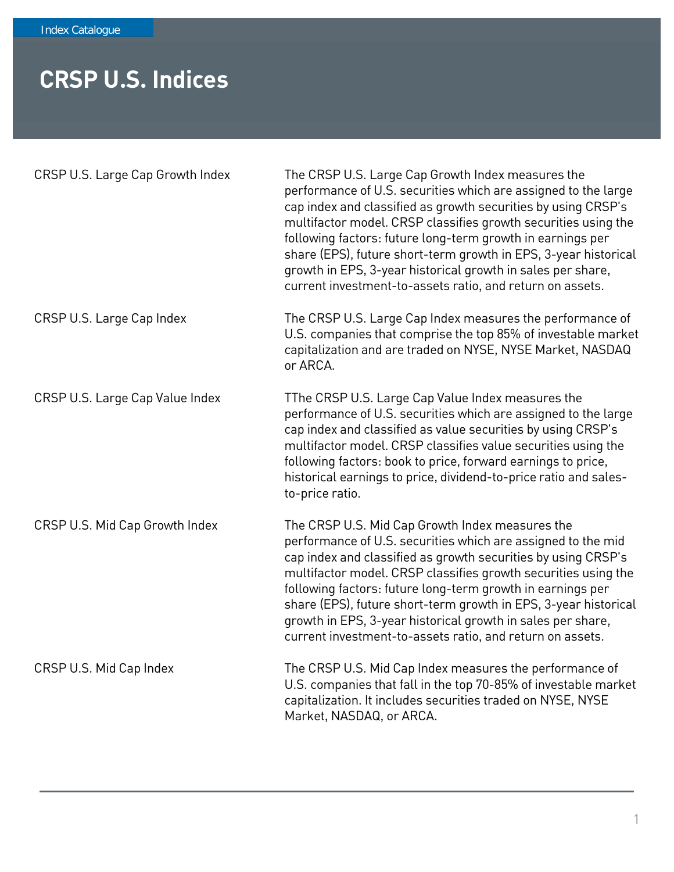## **CRSP U.S. Indices**

| CRSP U.S. Large Cap Growth Index | The CRSP U.S. Large Cap Growth Index measures the<br>performance of U.S. securities which are assigned to the large<br>cap index and classified as growth securities by using CRSP's<br>multifactor model. CRSP classifies growth securities using the<br>following factors: future long-term growth in earnings per<br>share (EPS), future short-term growth in EPS, 3-year historical<br>growth in EPS, 3-year historical growth in sales per share,<br>current investment-to-assets ratio, and return on assets. |
|----------------------------------|---------------------------------------------------------------------------------------------------------------------------------------------------------------------------------------------------------------------------------------------------------------------------------------------------------------------------------------------------------------------------------------------------------------------------------------------------------------------------------------------------------------------|
| CRSP U.S. Large Cap Index        | The CRSP U.S. Large Cap Index measures the performance of<br>U.S. companies that comprise the top 85% of investable market<br>capitalization and are traded on NYSE, NYSE Market, NASDAQ<br>or ARCA.                                                                                                                                                                                                                                                                                                                |
| CRSP U.S. Large Cap Value Index  | TThe CRSP U.S. Large Cap Value Index measures the<br>performance of U.S. securities which are assigned to the large<br>cap index and classified as value securities by using CRSP's<br>multifactor model. CRSP classifies value securities using the<br>following factors: book to price, forward earnings to price,<br>historical earnings to price, dividend-to-price ratio and sales-<br>to-price ratio.                                                                                                         |
| CRSP U.S. Mid Cap Growth Index   | The CRSP U.S. Mid Cap Growth Index measures the<br>performance of U.S. securities which are assigned to the mid<br>cap index and classified as growth securities by using CRSP's<br>multifactor model. CRSP classifies growth securities using the<br>following factors: future long-term growth in earnings per<br>share (EPS), future short-term growth in EPS, 3-year historical<br>growth in EPS, 3-year historical growth in sales per share,<br>current investment-to-assets ratio, and return on assets.     |
| CRSP U.S. Mid Cap Index          | The CRSP U.S. Mid Cap Index measures the performance of<br>U.S. companies that fall in the top 70-85% of investable market<br>capitalization. It includes securities traded on NYSE, NYSE<br>Market, NASDAQ, or ARCA.                                                                                                                                                                                                                                                                                               |